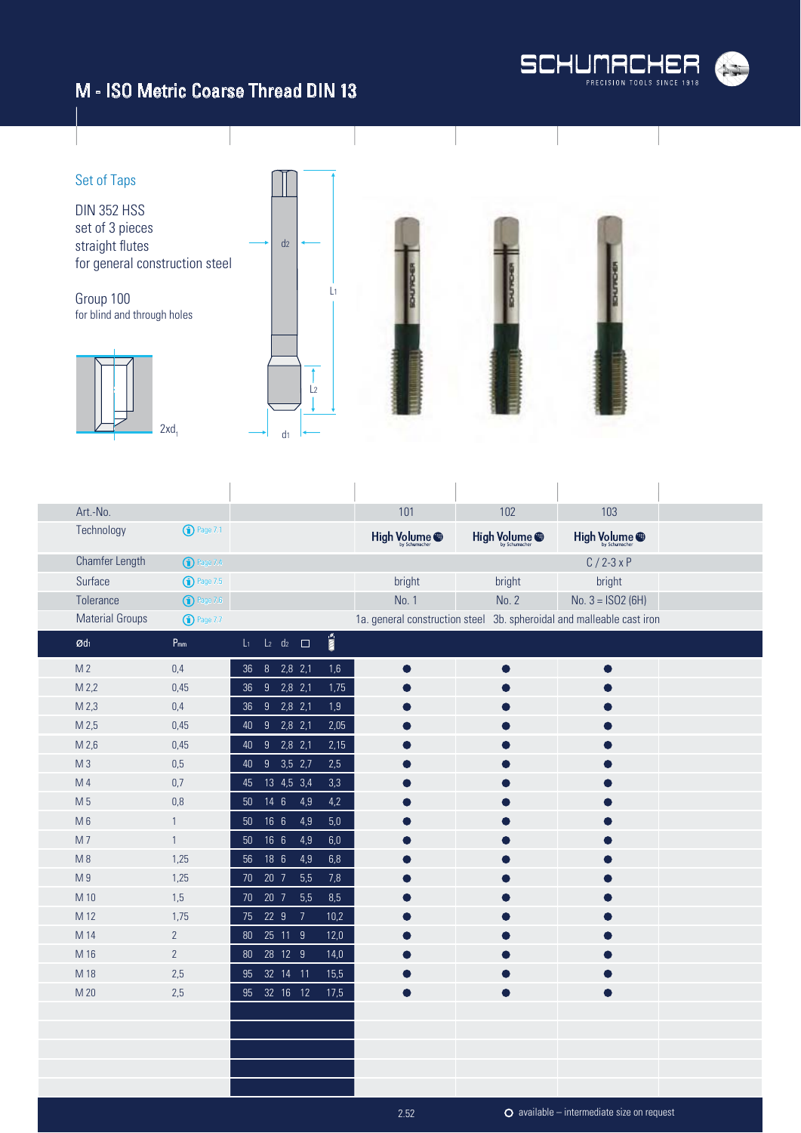

#### M - ISO Metric Coarse Thread DIN 13



| Art.-No.               |                            |                                        |                       | 101           | 102                                                                   | 103                      |
|------------------------|----------------------------|----------------------------------------|-----------------------|---------------|-----------------------------------------------------------------------|--------------------------|
| Technology             | $\bigodot$ Page 7.1        |                                        |                       | High Volume @ | High Volume <sup>@</sup>                                              | High Volume <sup>@</sup> |
| Chamfer Length         | <sup>1</sup> Page 7.4      |                                        |                       |               |                                                                       | $C/2-3xP$                |
| Surface                | $\binom{1}{1}$ Page 7.5    |                                        |                       | bright        | bright                                                                | bright                   |
| Tolerance              | $\bigcirc$ Page 7.6        |                                        |                       | No. 1         | No. 2                                                                 | No. $3 = ISO2(6H)$       |
| <b>Material Groups</b> | $\bigcirc$ Page 7.7        |                                        |                       |               | 1a. general construction steel 3b. spheroidal and malleable cast iron |                          |
| $\mathcal{Q}d_1$       | $\mathsf{P}_{\mathsf{mm}}$ | $L_2$ d <sub>2</sub> $\Box$<br>$L_{1}$ | $\sum_{i=1}^{\infty}$ |               |                                                                       |                          |
| M <sub>2</sub>         | 0,4                        | $8$ 2,8 2,1<br>36                      | 1,6                   | $\bullet$     |                                                                       | $\bullet$                |
| M 2,2                  | 0,45                       | $2,8$ 2,1<br>36 9                      | 1,75                  |               |                                                                       |                          |
| M <sub>2,3</sub>       | $0,4$                      | $9$ 2,8 2,1<br>36 <sup>°</sup>         | 1,9                   |               |                                                                       |                          |
| M 2,5                  | 0,45                       | $2,8$ 2,1<br>40<br>9                   | 2,05                  |               |                                                                       |                          |
| M 2,6                  | 0,45                       | 9<br>$2,8$ 2,1<br>40                   | 2,15                  |               |                                                                       |                          |
| M <sub>3</sub>         | 0,5                        | $9$ 3,5 2,7<br>40                      | 2,5                   |               |                                                                       |                          |
| M 4                    | 0,7                        | 13 4,5 3,4<br>$45\,$                   | 3,3                   |               |                                                                       |                          |
| M 5                    | 0,8                        | $14 \quad 6$<br>4,9<br>50 <sub>2</sub> | $4,2$                 |               |                                                                       |                          |
| $M_6$                  | 1                          | 166<br>4,9<br>50                       | $5,0$                 |               |                                                                       |                          |
| M7                     | $\mathbf{1}$               | 16 <sub>6</sub><br>50 <sub>2</sub>     | 4,9<br>$6,\!0$        |               |                                                                       |                          |
| $M_8$                  | 1,25                       | 18 6<br>4,9<br>56                      | $6,8$                 |               |                                                                       |                          |
| M9                     | 1,25                       | 5,5<br>70 20 7                         | 7,8                   |               |                                                                       |                          |
| M 10                   | 1,5                        | 20 7<br>5,5<br>70 <sub>2</sub>         | 8,5                   |               |                                                                       |                          |
| M 12                   | 1,75                       | 75 22 9<br>$\overline{7}$              | 10,2                  |               |                                                                       |                          |
| M 14                   | $\overline{2}$             | 25 11 9<br>80                          | 12,0                  |               |                                                                       |                          |
| M 16                   | $\mathbf{2}$               | 80  28  12  9                          | 14,0                  |               |                                                                       |                          |
| M 18                   | 2,5                        | 95 32 14 11                            | 15,5                  |               |                                                                       |                          |
| M 20                   | 2,5                        | 95 32 16 12                            | 17,5                  |               |                                                                       |                          |
|                        |                            |                                        |                       |               |                                                                       |                          |
|                        |                            |                                        |                       |               |                                                                       |                          |
|                        |                            |                                        |                       |               |                                                                       |                          |
|                        |                            |                                        |                       |               |                                                                       |                          |
|                        |                            |                                        |                       |               |                                                                       |                          |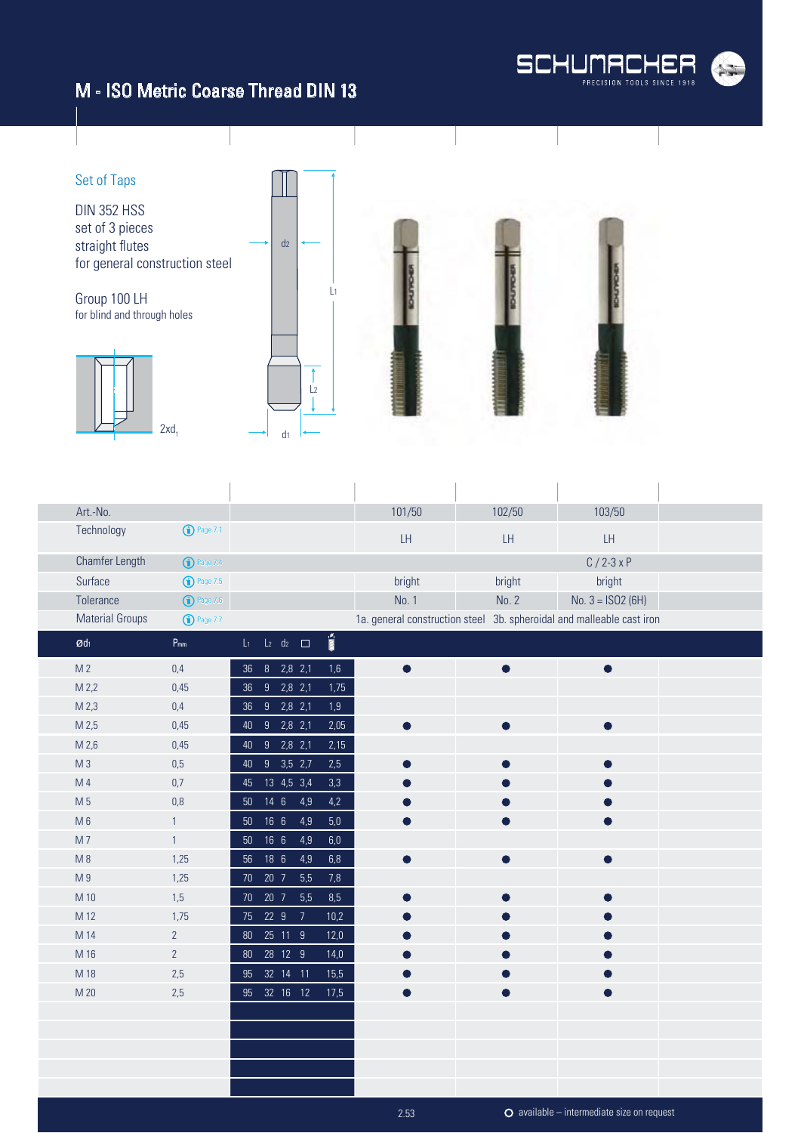#### M - ISO Metric Coarse Thread DIN 13



Set of Taps DIN 352 HSS set of 3 pieces  $d<sub>2</sub>$ straight flutes for general construction steel L1 Group 100 LH for blind and through holes  $\uparrow$  $\frac{1}{2}$  $2xd_1$  $\mathsf{d}_1$ 

| Art.-No.               |                            |                                                                               | 101/50    | 102/50                                                                | 103/50             |  |
|------------------------|----------------------------|-------------------------------------------------------------------------------|-----------|-----------------------------------------------------------------------|--------------------|--|
| Technology             | $\bigodot$ Page 7.1        |                                                                               | LH.       | LH                                                                    | LH                 |  |
| Chamfer Length         | <sup>1</sup> Page 7.4      |                                                                               |           |                                                                       | $C/2-3xP$          |  |
| Surface                | $\bigodot$ Page 7.5        |                                                                               | bright    | bright                                                                | bright             |  |
| Tolerance              | $\bigodot$ Page 7.6        |                                                                               | No. 1     | No. 2                                                                 | No. $3 = ISO2(6H)$ |  |
| <b>Material Groups</b> | $\bigodot$ Page 7.7        |                                                                               |           | 1a. general construction steel 3b. spheroidal and malleable cast iron |                    |  |
| Ød1                    | $\mathsf{P}_{\mathsf{mm}}$ | $\overline{\text{m}}$ .<br>$L_1$ $L_2$ $d_2$ $\Box$                           |           |                                                                       |                    |  |
| M <sub>2</sub>         | 0,4                        | $\begin{array}{ c c c c c }\n\hline\n8 & 2,8 & 2,1\n\end{array}$<br>1,6<br>36 | $\bullet$ | $\bullet$                                                             | $\bullet$          |  |
| M 2,2                  | 0,45                       | $2,8$ 2,1<br>1,75<br>9<br>36                                                  |           |                                                                       |                    |  |
| M 2,3                  | 0,4                        | $9$ 2,8 2,1<br>1,9<br>36                                                      |           |                                                                       |                    |  |
| M <sub>2,5</sub>       | 0,45                       | 40 9 2,8 2,1<br>2,05                                                          |           |                                                                       | $\bullet$          |  |
| M 2,6                  | 0,45                       | 40 9<br>$2,8$ 2,1<br>2,15                                                     |           |                                                                       |                    |  |
| M <sub>3</sub>         | 0,5                        | 40 9 3,5 2,7<br>2,5                                                           |           |                                                                       |                    |  |
| M 4                    | 0,7                        | 13 4,5 3,4<br>3,3<br>45                                                       |           |                                                                       |                    |  |
| M 5                    | $0,\!8$                    | 50 14 6<br>4,9<br>$4,2$                                                       |           |                                                                       |                    |  |
| $M_6$                  | $\mathbf{1}$               | 166<br>4,9<br>$5,0$<br>50 <sup>°</sup>                                        |           |                                                                       |                    |  |
| M7                     | $\mathbf{1}$               | 50  16  6<br>4,9<br>$6,\!0$                                                   |           |                                                                       |                    |  |
| M8                     | 1,25                       | 18 6<br>4,9<br>6,8<br>56                                                      |           |                                                                       |                    |  |
| M 9                    | 1,25                       | 20 7<br>5,5<br>7,8<br>70                                                      |           |                                                                       |                    |  |
| M 10                   | 1,5                        | 20 <sub>7</sub><br>5,5<br>8,5<br>70                                           |           |                                                                       |                    |  |
| M 12                   | 1,75                       | 75 22 9<br>$\overline{7}$<br>10,2                                             |           |                                                                       |                    |  |
| M 14                   | $2^{\circ}$                | 80  25  11  9<br>12,0                                                         |           |                                                                       |                    |  |
| M 16                   | $\overline{2}$             | 80  28  12  9<br>14,0                                                         |           |                                                                       |                    |  |
| M 18                   | 2,5                        | 95 32 14 11<br>15,5                                                           |           |                                                                       |                    |  |
| M 20                   | 2,5                        | 95 32 16 12<br>17,5                                                           |           |                                                                       |                    |  |
|                        |                            |                                                                               |           |                                                                       |                    |  |
|                        |                            |                                                                               |           |                                                                       |                    |  |
|                        |                            |                                                                               |           |                                                                       |                    |  |
|                        |                            |                                                                               |           |                                                                       |                    |  |
|                        |                            |                                                                               |           |                                                                       |                    |  |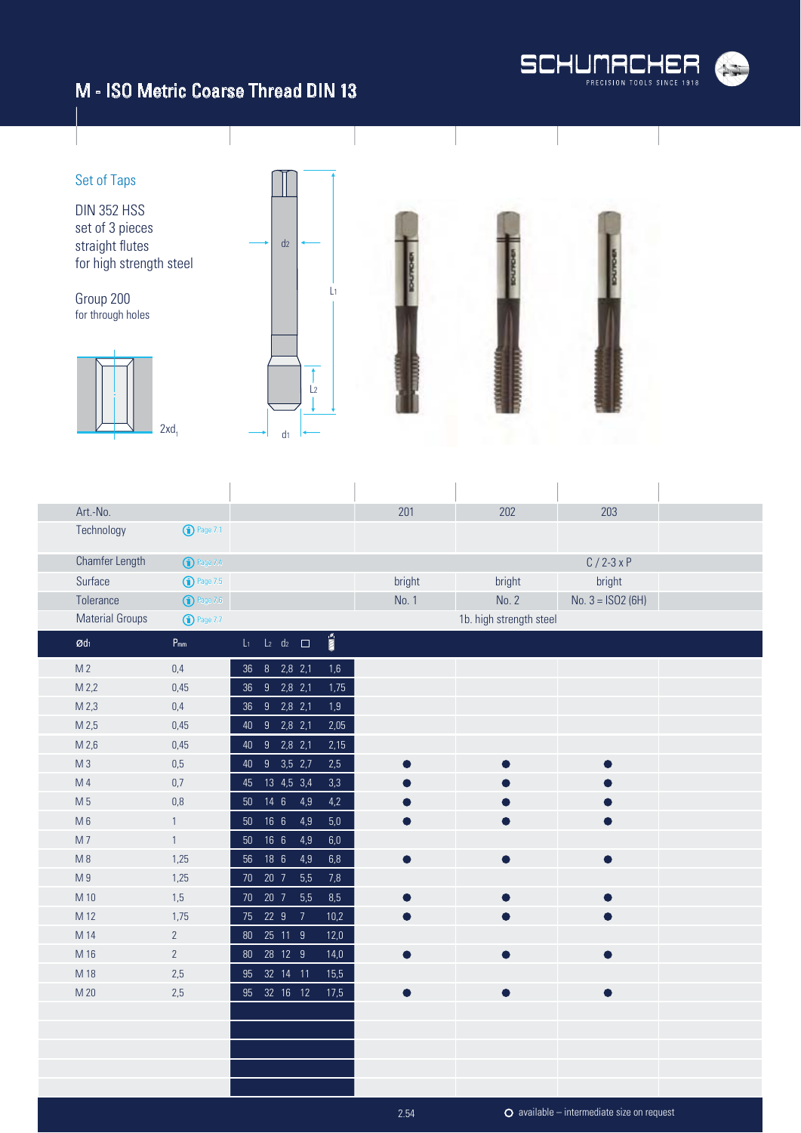

#### M - ISO Metric Coarse Thread DIN 13

#### Set of Taps DIN 352 HSS set of 3 pieces  $d<sub>2</sub>$ straight flutes for high strength steel L1 Group 200 for through holes  $\uparrow$  $\frac{1}{2}$  $2xd_1$  $\mathsf{d}_1$

| Art.-No.               |                       |                                                                      | 201       | 202                     | 203                |
|------------------------|-----------------------|----------------------------------------------------------------------|-----------|-------------------------|--------------------|
| Technology             | $\bigodot$ Page 7.1   |                                                                      |           |                         |                    |
| Chamfer Length         | <sup>1</sup> Page 7.4 |                                                                      |           |                         | $C/2-3xP$          |
| Surface                | <b>1</b> Page 7.5     |                                                                      | bright    | bright                  | bright             |
| Tolerance              | $\bigodot$ Page 7.6   |                                                                      | No. 1     | No. 2                   | No. $3 = ISO2(6H)$ |
| <b>Material Groups</b> | <b>1</b> Page 7.7     |                                                                      |           | 1b. high strength steel |                    |
| $\mathcal{O}d_1$       | $P_{mm}$              | $\mathbb{R}$ mm $^{\circ}$<br>$L_2$ d <sub>2</sub> $\Box$<br>$L_{1}$ |           |                         |                    |
| M <sub>2</sub>         | 0,4                   | $8$ 2,8 2,1<br>1,6<br>$36\,$                                         |           |                         |                    |
| M <sub>2,2</sub>       | 0,45                  | $9$ 2,8 2,1<br>1,75<br>$36\,$                                        |           |                         |                    |
| M 2,3                  | $0,4$                 | $9$ $2,8$ $2,1$<br>1,9<br>$36\,$                                     |           |                         |                    |
| M 2,5                  | 0,45                  | $9$ $2,8$ $2,1$<br>2,05<br>40                                        |           |                         |                    |
| M 2,6                  | 0,45                  | $9$ $2,8$ $2,1$<br>2,15<br>40                                        |           |                         |                    |
| M <sub>3</sub>         | $0,5$                 | 40 9 3,5 2,7<br>2,5                                                  |           |                         | $\bullet$          |
| M <sub>4</sub>         | 0,7                   | 13 4,5 3,4<br>3,3<br>45                                              |           |                         |                    |
| M 5                    | 0,8                   | 50 14 6<br>4,9<br>4,2                                                |           |                         |                    |
| M6                     | 1                     | 166<br>4,9<br>$5,0$<br>50 <sub>2</sub>                               |           | ●                       | $\bullet$          |
| M7                     | $\mathbf{1}$          | 166<br>4,9<br>$6,\!0$<br>$50\,$                                      |           |                         |                    |
| M8                     | 1,25                  | 18 6<br>4,9<br>6,8<br>56                                             | $\bullet$ | $\bullet$               | $\bullet$          |
| M <sub>9</sub>         | 1,25                  | 5,5<br>7,8<br>20 7<br>$70\,$                                         |           |                         |                    |
| M 10                   | 1,5                   | 20 7<br>5,5<br>8,5<br>70                                             |           |                         |                    |
| M 12                   | 1,75                  | 75 22 9<br>10,2<br>$\overline{7}$                                    |           |                         |                    |
| M 14                   | $\overline{2}$        | 25 11 9<br>12,0<br>$80\,$                                            |           |                         |                    |
| M 16                   | $2^{\circ}$           | 28 12 9<br>14,0<br>80                                                |           |                         | $\bullet$          |
| M 18                   | 2,5                   | 32 14 11<br>15,5<br>95                                               |           |                         |                    |
| M 20                   | 2,5                   | 95 32 16 12<br>17,5                                                  | $\bullet$ | $\bullet$               | $\bullet$          |
|                        |                       |                                                                      |           |                         |                    |
|                        |                       |                                                                      |           |                         |                    |
|                        |                       |                                                                      |           |                         |                    |
|                        |                       |                                                                      |           |                         |                    |
|                        |                       |                                                                      |           |                         |                    |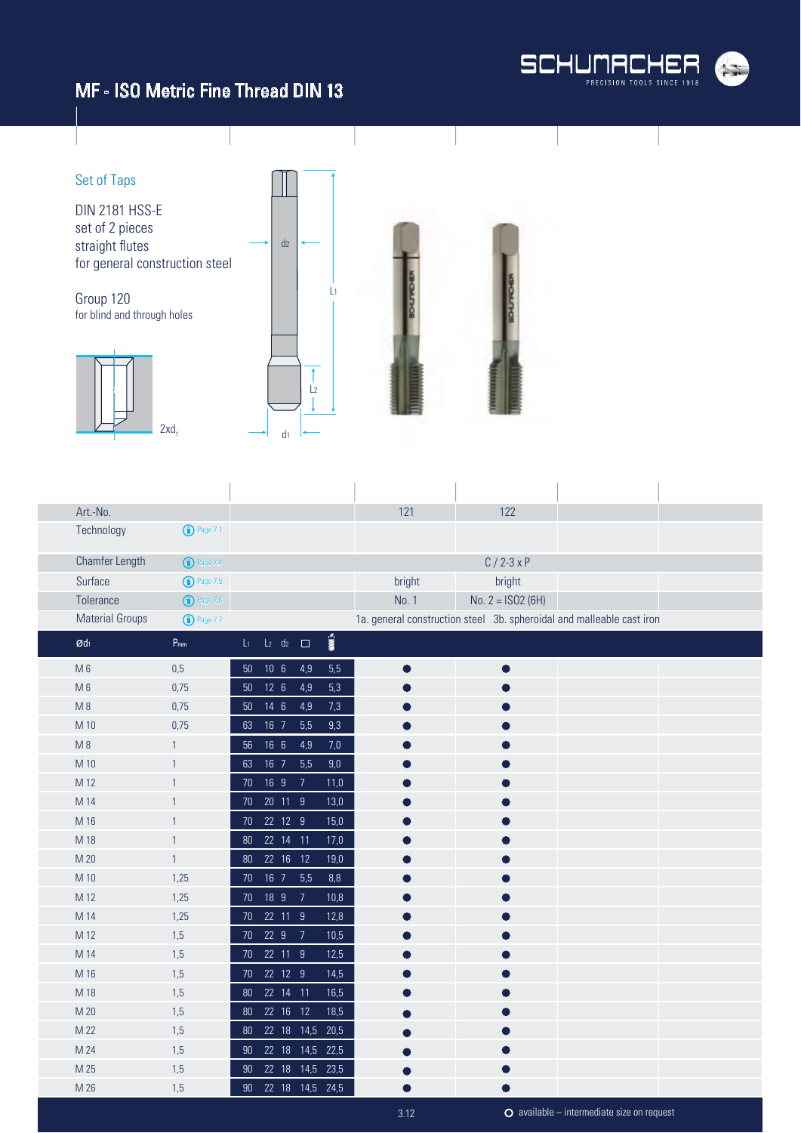

#### MF - ISO Metric Fine Thread DIN 13



| Art.-No.               |                         |                |                                          |                |         | 121                                                                   | 122                 |  |
|------------------------|-------------------------|----------------|------------------------------------------|----------------|---------|-----------------------------------------------------------------------|---------------------|--|
| Technology             | $\bigodot$ Page 7.1     |                |                                          |                |         |                                                                       |                     |  |
| Chamfer Length         | <sup>1</sup> Page 7.4   |                |                                          |                |         |                                                                       | $C/2-3xP$           |  |
| Surface                | $\binom{1}{1}$ Page 7.5 |                |                                          |                |         | bright                                                                | bright              |  |
| Tolerance              | $\bigodot$ Page 7.6     |                |                                          |                |         | No. 1                                                                 | No. $2 = ISO2 (6H)$ |  |
| <b>Material Groups</b> | <b>1</b> Page 7.7       |                |                                          |                |         | 1a. general construction steel 3b. spheroidal and malleable cast iron |                     |  |
| $\mathcal{O}d_1$       | $P_{mm}$                | $\mathsf{L}_1$ | $\overline{L_2}$ $\overline{d_2}$ $\Box$ |                | Ě       |                                                                       |                     |  |
| M <sub>6</sub>         | 0,5                     | $50\,$         | 10 <sub>6</sub>                          | 4,9            | 5,5     | $\bullet$                                                             | O                   |  |
| M <sub>6</sub>         | 0,75                    | 50             | 126                                      | 4,9            | 5,3     |                                                                       |                     |  |
| M8                     | 0,75                    | 50             | $14 \quad 6$                             | 4,9            | 7,3     |                                                                       |                     |  |
| M 10                   | 0,75                    | 63             | 16 <sub>7</sub>                          | 5,5            | 9,3     |                                                                       |                     |  |
| $M_8$                  | 1                       | 56             | 16 <sub>6</sub>                          | 4,9            | $7,0$   |                                                                       |                     |  |
| M 10                   | 1                       | 63             | $16$ 7                                   | 5,5            | $9,\!0$ |                                                                       |                     |  |
| M 12                   | $\mathbf{1}$            | 70             | 16 9                                     | $\overline{7}$ | 11,0    |                                                                       |                     |  |
| M 14                   | $\mathbf{1}$            | 70             | 20 11 9                                  |                | 13,0    |                                                                       |                     |  |
| M 16                   | 1                       | 70             | 22 12 9                                  |                | 15,0    |                                                                       |                     |  |
| M 18                   | $\mathbf{1}$            | 80             | 22 14 11                                 |                | 17,0    |                                                                       |                     |  |
| M 20                   | $\mathbf{1}$            | 80             | 22 16 12                                 |                | 19,0    |                                                                       |                     |  |
| M 10                   | 1,25                    | $70$           | $16$ 7                                   | 5,5            | $8,8$   |                                                                       |                     |  |
| M 12                   | 1,25                    | $70$           | 18 9                                     | $\overline{7}$ | 10,8    |                                                                       |                     |  |
| M 14                   | 1,25                    | 70             | 22 11 9                                  |                | 12,8    |                                                                       |                     |  |
| M 12                   | 1,5                     | 70             | 22 9                                     | $\overline{7}$ | 10,5    |                                                                       |                     |  |
| M 14                   | 1,5                     | 70             | 22 11 9                                  |                | 12,5    |                                                                       |                     |  |
| M 16                   | 1,5                     | 70             | 22 12 9                                  |                | 14,5    |                                                                       |                     |  |
| M 18                   | 1,5                     | 80             | 22 14 11                                 |                | 16,5    |                                                                       |                     |  |
| M 20                   | 1,5                     | 80             | $\overline{22}$ 16 12                    |                | 18,5    |                                                                       |                     |  |
| M 22                   | 1,5                     | 80             | 22 18 14,5                               |                | 20,5    |                                                                       |                     |  |
| M 24                   | 1,5                     | 90             | 22 18 14,5 22,5                          |                |         |                                                                       |                     |  |
| M 25                   | 1,5                     | 90             | 22 18 14,5 23,5                          |                |         |                                                                       |                     |  |
| M 26                   | 1,5                     | $90\,$         | 22 18 14,5 24,5                          |                |         |                                                                       |                     |  |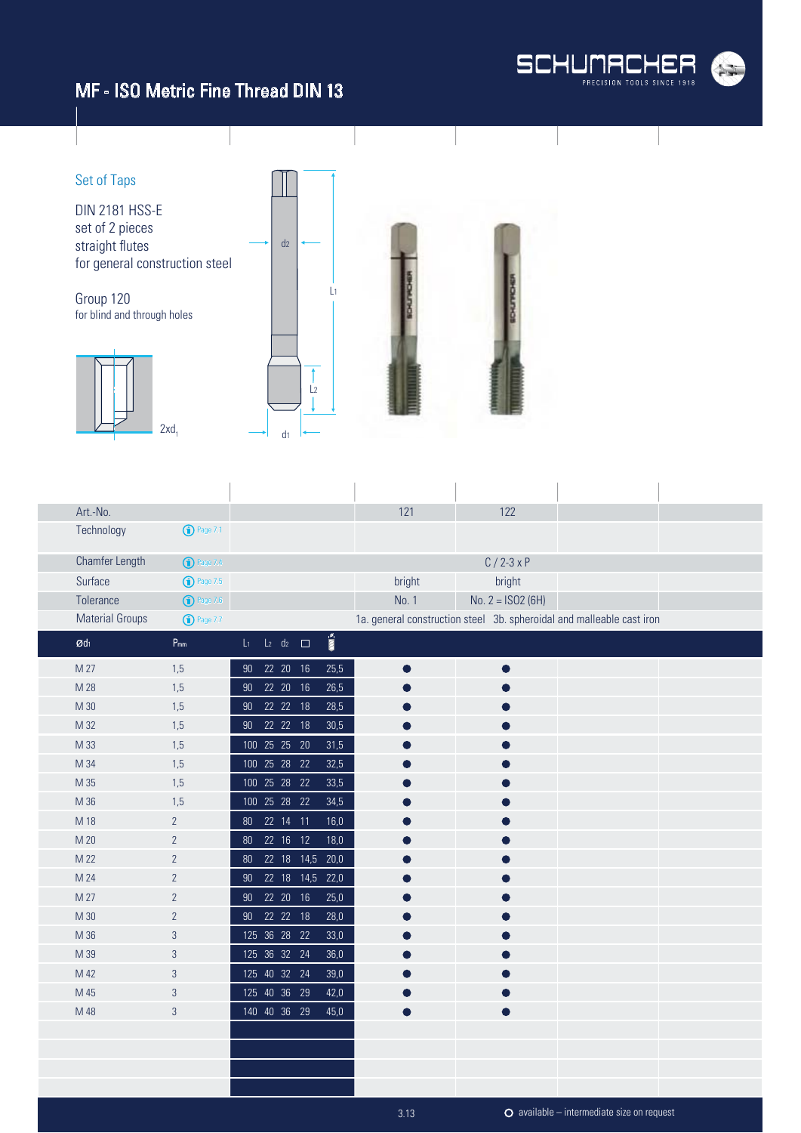#### MF - ISO Metric Fine Thread DIN 13





| Art.-No.               |                       |                                                                   | 121       | 122                                                                   |  |
|------------------------|-----------------------|-------------------------------------------------------------------|-----------|-----------------------------------------------------------------------|--|
| Technology             | <sup>1</sup> Page 7.1 |                                                                   |           |                                                                       |  |
| Chamfer Length         | <sup>1</sup> Page 7.4 |                                                                   |           | $C/2-3xP$                                                             |  |
| Surface                | $\bigodot$ Page 7.5   |                                                                   | bright    | bright                                                                |  |
| Tolerance              | $\bigodot$ Page 7.6   |                                                                   | No. 1     | No. $2 = ISO2 (6H)$                                                   |  |
| <b>Material Groups</b> | <b>D</b> Page 7.7     |                                                                   |           | 1a. general construction steel 3b. spheroidal and malleable cast iron |  |
| $\mathcal{O}d_1$       | $P_{mm}$              | $\sum_{i=1}^{n}$<br>$L_2$ d <sub>2</sub> $\Box$<br>L <sub>1</sub> |           |                                                                       |  |
| M 27                   | 1,5                   | 22 20 16<br>25,5<br>90 <sub>o</sub>                               |           |                                                                       |  |
| M 28                   | 1,5                   | 22 20<br>16<br>26,5<br>90                                         |           |                                                                       |  |
| M 30                   | 1,5                   | 22 22 18<br>28,5<br>90 <sub>o</sub>                               |           |                                                                       |  |
| M 32                   | 1,5                   | 90 22 22 18<br>30,5                                               |           |                                                                       |  |
| M 33                   | 1,5                   | 100 25 25 20<br>31,5                                              |           |                                                                       |  |
| M 34                   | 1,5                   | 100 25 28<br>22<br>32,5                                           |           |                                                                       |  |
| M 35                   | 1,5                   | 100 25 28 22<br>33,5                                              |           |                                                                       |  |
| M 36                   | 1,5                   | 100 25 28 22<br>34,5                                              |           |                                                                       |  |
| M 18                   | $\overline{2}$        | 22 14 11<br>16,0<br>80 <sup>°</sup>                               |           |                                                                       |  |
| M 20                   | $\overline{2}$        | 22 16 12<br>18,0<br>80                                            |           |                                                                       |  |
| M 22                   | $\overline{2}$        | 22 18 14,5 20,0<br>80                                             |           |                                                                       |  |
| M 24                   | $\overline{2}$        | 22 18 14,5 22,0<br>90 <sub>o</sub>                                |           |                                                                       |  |
| M 27                   | $\overline{2}$        | 22 20 16<br>25,0<br>90 <sub>o</sub>                               |           |                                                                       |  |
| M 30                   | $\overline{2}$        | 90  22  22  18<br>28,0                                            |           |                                                                       |  |
| M 36                   | 3                     | 125 36 28 22<br>33,0                                              |           |                                                                       |  |
| M 39                   | $\mathfrak{B}$        | 125 36 32 24<br>36,0                                              |           |                                                                       |  |
| M 42                   | 3                     | 125 40 32 24<br>39,0                                              |           |                                                                       |  |
| M 45                   | 3                     | 125 40 36 29<br>42,0                                              |           |                                                                       |  |
| M 48                   | $\mathfrak{S}$        | 140 40 36 29<br>45,0                                              | $\bullet$ | ●                                                                     |  |
|                        |                       |                                                                   |           |                                                                       |  |
|                        |                       |                                                                   |           |                                                                       |  |
|                        |                       |                                                                   |           |                                                                       |  |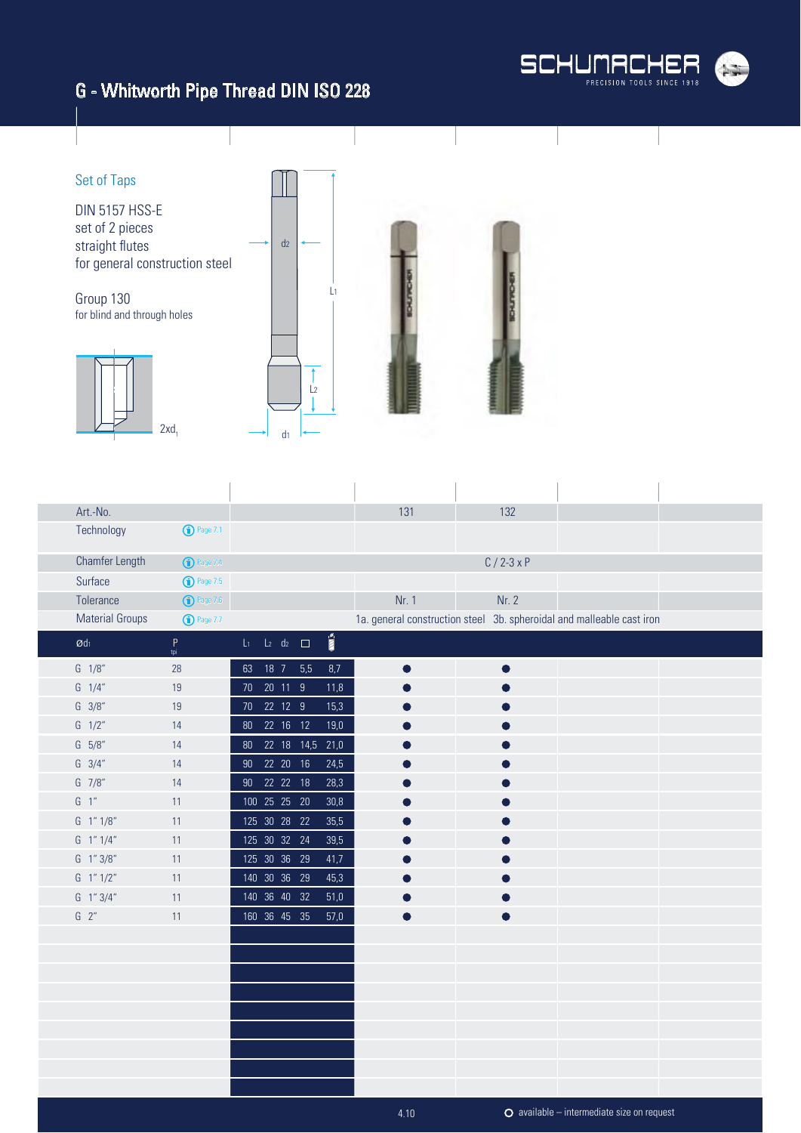# G - Whitworth Pipe Thread DIN ISO 228





| Art.-No.                  |                       |  |                          |                        | 131   | 132       |                                                                       |  |
|---------------------------|-----------------------|--|--------------------------|------------------------|-------|-----------|-----------------------------------------------------------------------|--|
| Technology                | $\bigodot$ Page 7.1   |  |                          |                        |       |           |                                                                       |  |
| Chamfer Length            | <sup>1</sup> Page 7.4 |  |                          |                        |       | $C/2-3xP$ |                                                                       |  |
| Surface                   | $\bigodot$ Page 7.5   |  |                          |                        |       |           |                                                                       |  |
| Tolerance                 | $\bigodot$ Page 7.6   |  |                          |                        | Nr. 1 | Nr. 2     |                                                                       |  |
| <b>Material Groups</b>    | $\bigodot$ Page 7.7   |  |                          |                        |       |           | 1a. general construction steel 3b. spheroidal and malleable cast iron |  |
| $\emptyset$ dı            | $\sf P$<br>tpi        |  | $L_1$ $L_2$ $d_2$ $\Box$ | $\sum_{i=1}^{\infty}$  |       |           |                                                                       |  |
| $G \quad 1/8''$           | 28                    |  | 63 18 7 5,5              | 8,7                    |       |           |                                                                       |  |
| $G \quad 1/4''$           | 19                    |  | 70 20 11 9               | 11,8                   |       |           |                                                                       |  |
| $G \frac{3}{8}$           | 19                    |  | 70  22  12  9            | 15,3                   |       |           |                                                                       |  |
| $G \frac{1}{2}$           | 14                    |  | 80  22  16  12           | 19,0                   |       |           |                                                                       |  |
| $G = 5/8"$                | 14                    |  |                          | 80  22  18  14,5  21,0 |       |           |                                                                       |  |
| $G \quad 3/4''$           | 14                    |  | 90  22  20  16           | 24,5                   |       |           |                                                                       |  |
| $G$ 7/8"                  | 14                    |  | 90  22  22  18           | 28,3                   |       |           |                                                                       |  |
| $G-1$ "                   | 11                    |  | 100 25 25 20             | 30,8                   |       |           |                                                                       |  |
| $G$ 1" $1/8$ "            | 11                    |  | 125 30 28 22             | 35,5                   |       |           |                                                                       |  |
| $G \quad 1'' \quad 1/4''$ | 11                    |  | 125 30 32 24             | 39,5                   |       |           |                                                                       |  |
| G 1" 3/8"                 | 11                    |  | 125 30 36 29             | 41,7                   |       |           |                                                                       |  |
| G 1" 1/2"                 | 11                    |  | 140 30 36 29             | 45,3                   |       |           |                                                                       |  |
| G 1" 3/4"                 | 11                    |  | 140 36 40 32             | 51,0                   |       |           |                                                                       |  |
| $G$ $2"$                  | 11                    |  | 160 36 45 35             | 57,0                   |       |           |                                                                       |  |
|                           |                       |  |                          |                        |       |           |                                                                       |  |
|                           |                       |  |                          |                        |       |           |                                                                       |  |
|                           |                       |  |                          |                        |       |           |                                                                       |  |
|                           |                       |  |                          |                        |       |           |                                                                       |  |
|                           |                       |  |                          |                        |       |           |                                                                       |  |
|                           |                       |  |                          |                        |       |           |                                                                       |  |
|                           |                       |  |                          |                        |       |           |                                                                       |  |
|                           |                       |  |                          |                        |       |           |                                                                       |  |
|                           |                       |  |                          |                        |       |           |                                                                       |  |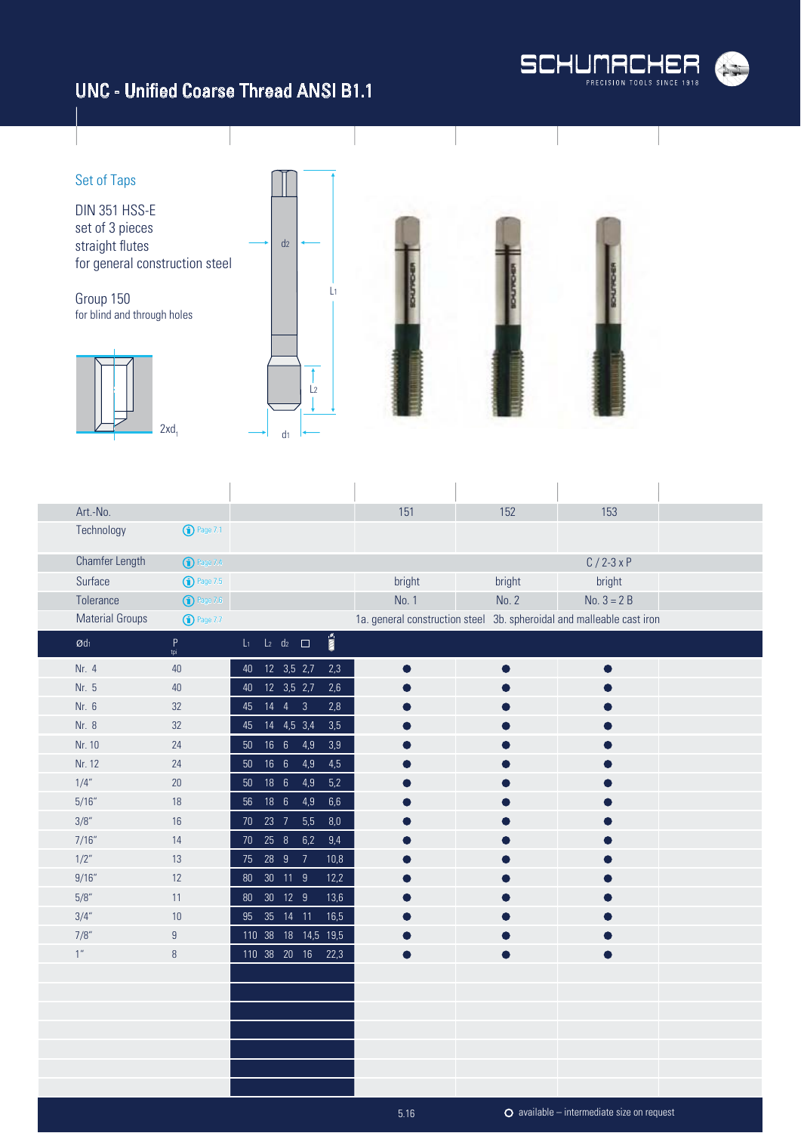

### UNC - Unified Coarse Thread ANSI B1.1



| Art.-No.                   |                       |                |                 |                             |                     |                         | 151                                                                   | 152    | 153                                          |  |
|----------------------------|-----------------------|----------------|-----------------|-----------------------------|---------------------|-------------------------|-----------------------------------------------------------------------|--------|----------------------------------------------|--|
| Technology                 | <sup>1</sup> Page 7.1 |                |                 |                             |                     |                         |                                                                       |        |                                              |  |
| Chamfer Length             | $\bigodot$ Page 7.4   |                |                 |                             |                     |                         |                                                                       |        | $C / 2 - 3xP$                                |  |
| Surface                    | <b>1</b> Page 7.5     |                |                 |                             |                     |                         | bright                                                                | bright | bright                                       |  |
| Tolerance                  | $\bigodot$ Page 7.6   |                |                 |                             |                     |                         | No. 1                                                                 | No. 2  | $No. 3 = 2 B$                                |  |
| <b>Material Groups</b>     | $\bigodot$ Page 7.7   |                |                 |                             |                     |                         | 1a. general construction steel 3b. spheroidal and malleable cast iron |        |                                              |  |
| $\emptyset$ d <sub>1</sub> | $\mathsf P$<br>tpi    | L <sub>1</sub> |                 | $L_2$ d <sub>2</sub> $\Box$ |                     | $\overline{\mathbf{m}}$ |                                                                       |        |                                              |  |
| Nr. 4                      | 40                    | 40             |                 | 12 3,5 2,7                  |                     | 2,3                     |                                                                       |        |                                              |  |
| Nr. 5                      | $40\,$                | 40             |                 | $\overline{12}$ 3,5 2,7     |                     | 2,6                     |                                                                       |        |                                              |  |
| Nr. 6                      | 32                    | 45             |                 | $14 \quad 4 \quad 3$        |                     | $2,8$                   |                                                                       |        |                                              |  |
| Nr. 8                      | 32                    | 45             |                 | 14 4,5 3,4                  |                     | 3,5                     |                                                                       |        |                                              |  |
| Nr. 10                     | 24                    | 50             | 16 <sub>6</sub> |                             | 4,9                 | 3,9                     |                                                                       |        |                                              |  |
| Nr. 12                     | 24                    | $50\,$         | 16 6            |                             | 4,9                 | $4,5$                   |                                                                       |        |                                              |  |
| 1/4"                       | 20                    | $50\,$         | $186$           |                             | 4,9                 | $5,2$                   |                                                                       |        |                                              |  |
| 5/16''                     | 18                    | 56             | 18 6            |                             | 4,9                 | $6,6$                   |                                                                       |        |                                              |  |
| 3/8"                       | 16                    | $70\,$         | 23 7            |                             | 5,5                 | 8,0                     |                                                                       |        |                                              |  |
| 7/16"                      | 14                    | $70\,$         | 25 8            |                             | 6,2                 | 9,4                     |                                                                       |        |                                              |  |
| 1/2"                       | 13                    | 75             | 28 9            | $\overline{7}$              |                     | 10,8                    |                                                                       |        |                                              |  |
| 9/16''                     | 12                    | $80\,$         |                 | 30 11 9                     |                     | 12,2                    |                                                                       |        |                                              |  |
| 5/8"                       | 11                    | $80\,$         |                 | 30 12 9                     |                     | 13,6                    |                                                                       |        |                                              |  |
| 3/4"                       | 10                    | $95\,$         |                 | 35 14 11                    |                     | 16,5                    |                                                                       |        |                                              |  |
| 7/8"                       | $\boldsymbol{9}$      |                |                 |                             | 110 38 18 14,5 19,5 |                         |                                                                       |        |                                              |  |
| 1''                        | $\, 8$                |                |                 | 110 38 20 16                |                     | 22,3                    |                                                                       |        |                                              |  |
|                            |                       |                |                 |                             |                     |                         |                                                                       |        |                                              |  |
|                            |                       |                |                 |                             |                     |                         |                                                                       |        |                                              |  |
|                            |                       |                |                 |                             |                     |                         |                                                                       |        |                                              |  |
|                            |                       |                |                 |                             |                     |                         |                                                                       |        |                                              |  |
|                            |                       |                |                 |                             |                     |                         |                                                                       |        |                                              |  |
|                            |                       |                |                 |                             |                     |                         |                                                                       |        |                                              |  |
|                            |                       |                |                 |                             |                     |                         |                                                                       |        |                                              |  |
|                            |                       |                |                 |                             |                     |                         | 5.16                                                                  |        | $O$ available – intermediate size on request |  |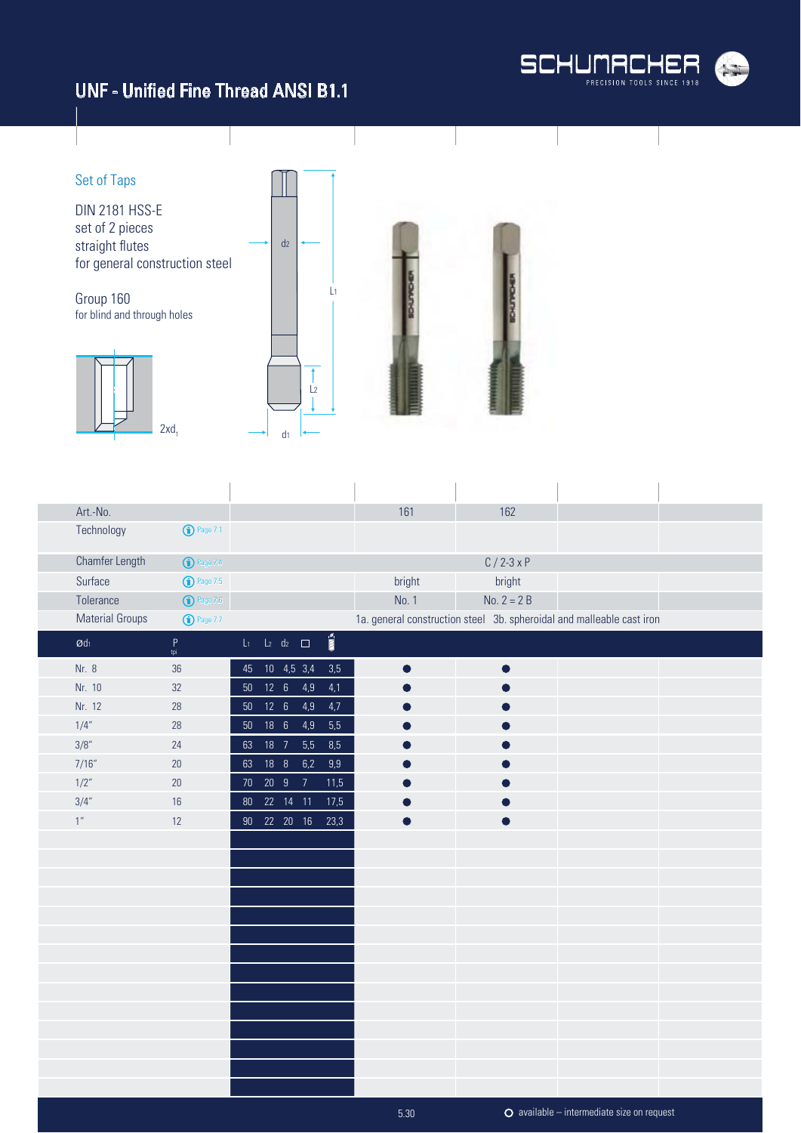#### UNF - Unified Fine Thread ANSI B1.1





| Art.-No.                           |                       |    |               |                          |                          | 161       | 162           |                                                                       |  |
|------------------------------------|-----------------------|----|---------------|--------------------------|--------------------------|-----------|---------------|-----------------------------------------------------------------------|--|
| Technology                         | <sup>1</sup> Page 7.1 |    |               |                          |                          |           |               |                                                                       |  |
| <b>Chamfer Length</b>              | <sup>1</sup> Page 7.4 |    |               |                          |                          |           | $C / 2 - 3xP$ |                                                                       |  |
| Surface                            | <b>1</b> Page 7.5     |    |               |                          |                          | bright    | bright        |                                                                       |  |
| Tolerance                          | $\bigodot$ Page 7.6   |    |               |                          |                          | No. 1     | No. $2 = 2B$  |                                                                       |  |
| <b>Material Groups</b>             | <b>1</b> Page 7.7     |    |               |                          |                          |           |               | 1a. general construction steel 3b. spheroidal and malleable cast iron |  |
| $\mathop{\mathcal{O}}\nolimits$ dı | $P$ <sub>tpi</sub>    |    |               | $L_1$ $L_2$ $d_2$ $\Box$ | $\overline{\text{nm}}$ s |           |               |                                                                       |  |
| Nr. 8                              | 36                    |    |               | 45  10  4,5  3,4         | 3,5                      | $\bullet$ | $\bullet$     |                                                                       |  |
| Nr. 10                             | 32                    |    |               | 50    12    6    4,9     | 4,1                      |           |               |                                                                       |  |
| Nr. 12                             | 28                    |    | 50    12    6 | 4,9                      | 4,7                      |           |               |                                                                       |  |
| 1/4"                               | 28                    |    |               | 50  18  6  4,9           | 5,5                      |           |               |                                                                       |  |
| 3/8"                               | 24                    |    | 63 18 7       | 5,5                      | 8,5                      |           |               |                                                                       |  |
| 7/16''                             | 20                    | 63 | 18 8          | 6,2                      | 9,9                      |           |               |                                                                       |  |
| 1/2"                               | 20                    |    |               | 70 20 9 7                | 11,5                     |           |               |                                                                       |  |
| 3/4"                               | 16                    |    |               | 80  22  14  11           | 17,5                     |           |               |                                                                       |  |
| 1''                                | 12                    |    |               |                          | 90  22  20  16  23,3     |           |               |                                                                       |  |
|                                    |                       |    |               |                          |                          |           |               |                                                                       |  |
|                                    |                       |    |               |                          |                          |           |               |                                                                       |  |
|                                    |                       |    |               |                          |                          |           |               |                                                                       |  |
|                                    |                       |    |               |                          |                          |           |               |                                                                       |  |
|                                    |                       |    |               |                          |                          |           |               |                                                                       |  |
|                                    |                       |    |               |                          |                          |           |               |                                                                       |  |
|                                    |                       |    |               |                          |                          |           |               |                                                                       |  |
|                                    |                       |    |               |                          |                          |           |               |                                                                       |  |
|                                    |                       |    |               |                          |                          |           |               |                                                                       |  |
|                                    |                       |    |               |                          |                          |           |               |                                                                       |  |
|                                    |                       |    |               |                          |                          |           |               |                                                                       |  |
|                                    |                       |    |               |                          |                          |           |               |                                                                       |  |
|                                    |                       |    |               |                          |                          |           |               |                                                                       |  |
|                                    |                       |    |               |                          |                          |           |               |                                                                       |  |

5.30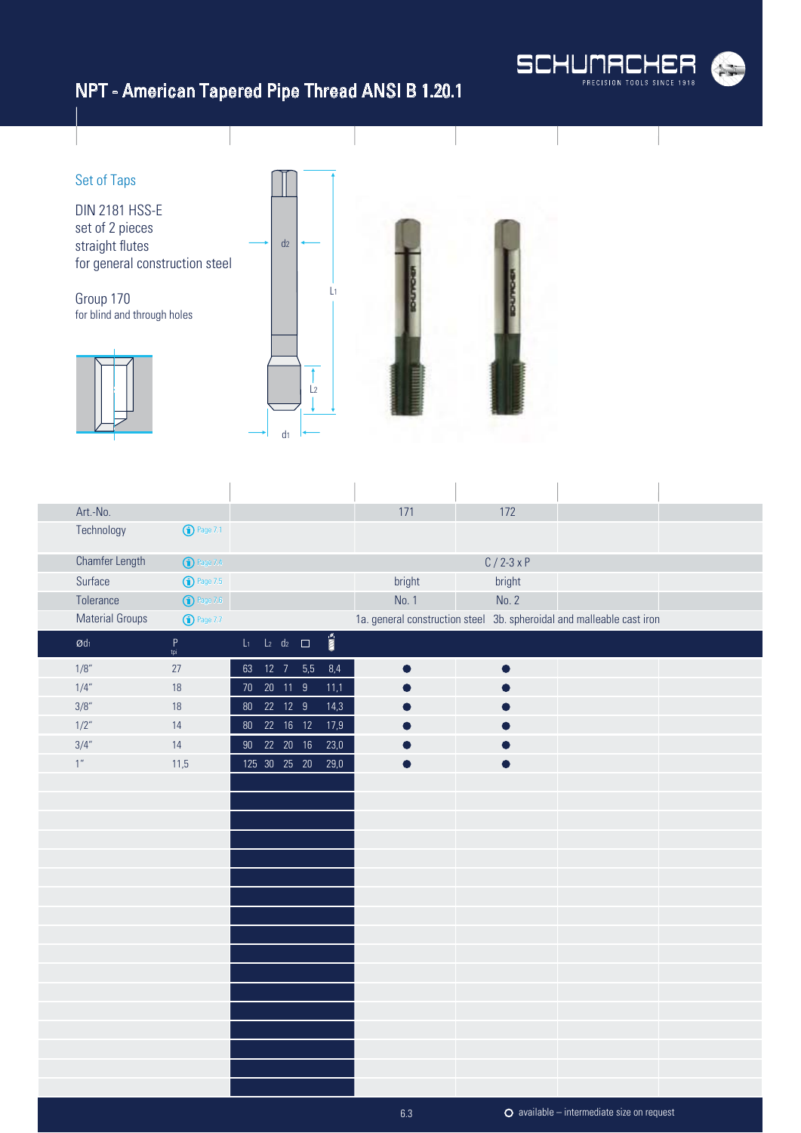

# NPT - American Tapered Pipe Thread ANSI B 1.20.1



| Art.-No.               |                     |               |          |                          |                       | 171       | 172           |                                                                       |  |
|------------------------|---------------------|---------------|----------|--------------------------|-----------------------|-----------|---------------|-----------------------------------------------------------------------|--|
| Technology             | <b>1</b> Page 7.1   |               |          |                          |                       |           |               |                                                                       |  |
| Chamfer Length         | <b>1</b> Page 7.4   |               |          |                          |                       |           | $C / 2 - 3xP$ |                                                                       |  |
| Surface                | $\bigodot$ Page 7.5 |               |          |                          |                       | bright    | bright        |                                                                       |  |
| Tolerance              | $\bigodot$ Page 7.6 |               |          |                          |                       | No. 1     | No. 2         |                                                                       |  |
| <b>Material Groups</b> | <b>1</b> Page 7.7   |               |          |                          |                       |           |               | 1a. general construction steel 3b. spheroidal and malleable cast iron |  |
| $\emptyset$ dı         | $P$<br>tpi          |               |          | $L_1$ $L_2$ $d_2$ $\Box$ | $\overline{\text{m}}$ |           |               |                                                                       |  |
| 1/8"                   | 27                  |               |          | 63 12 7 5,5              | 8,4                   | $\bullet$ | $\bullet$     |                                                                       |  |
| 1/4''                  | 18                  | 70            | 20 11 9  |                          | 11,1                  |           |               |                                                                       |  |
| 3/8"                   | $18$                | 80  22  12  9 |          |                          | 14,3                  |           |               |                                                                       |  |
| 1/2"                   | 14                  | $80\,$        | 22 16 12 |                          | 17,9                  |           |               |                                                                       |  |
| 3/4''                  | 14                  | 90 22 20 16   |          |                          | 23,0                  |           |               |                                                                       |  |
| 1 <sup>''</sup>        | 11,5                | 125 30 25 20  |          |                          | 29,0                  |           |               |                                                                       |  |
|                        |                     |               |          |                          |                       |           |               |                                                                       |  |
|                        |                     |               |          |                          |                       |           |               |                                                                       |  |
|                        |                     |               |          |                          |                       |           |               |                                                                       |  |
|                        |                     |               |          |                          |                       |           |               |                                                                       |  |
|                        |                     |               |          |                          |                       |           |               |                                                                       |  |
|                        |                     |               |          |                          |                       |           |               |                                                                       |  |
|                        |                     |               |          |                          |                       |           |               |                                                                       |  |
|                        |                     |               |          |                          |                       |           |               |                                                                       |  |
|                        |                     |               |          |                          |                       |           |               |                                                                       |  |
|                        |                     |               |          |                          |                       |           |               |                                                                       |  |
|                        |                     |               |          |                          |                       |           |               |                                                                       |  |
|                        |                     |               |          |                          |                       |           |               |                                                                       |  |
|                        |                     |               |          |                          |                       |           |               |                                                                       |  |
|                        |                     |               |          |                          |                       |           |               |                                                                       |  |
|                        |                     |               |          |                          |                       |           |               |                                                                       |  |
|                        |                     |               |          |                          |                       |           |               |                                                                       |  |
|                        |                     |               |          |                          |                       |           |               |                                                                       |  |
|                        |                     |               |          |                          |                       | 6.3       |               | $O$ available – intermediate size on request                          |  |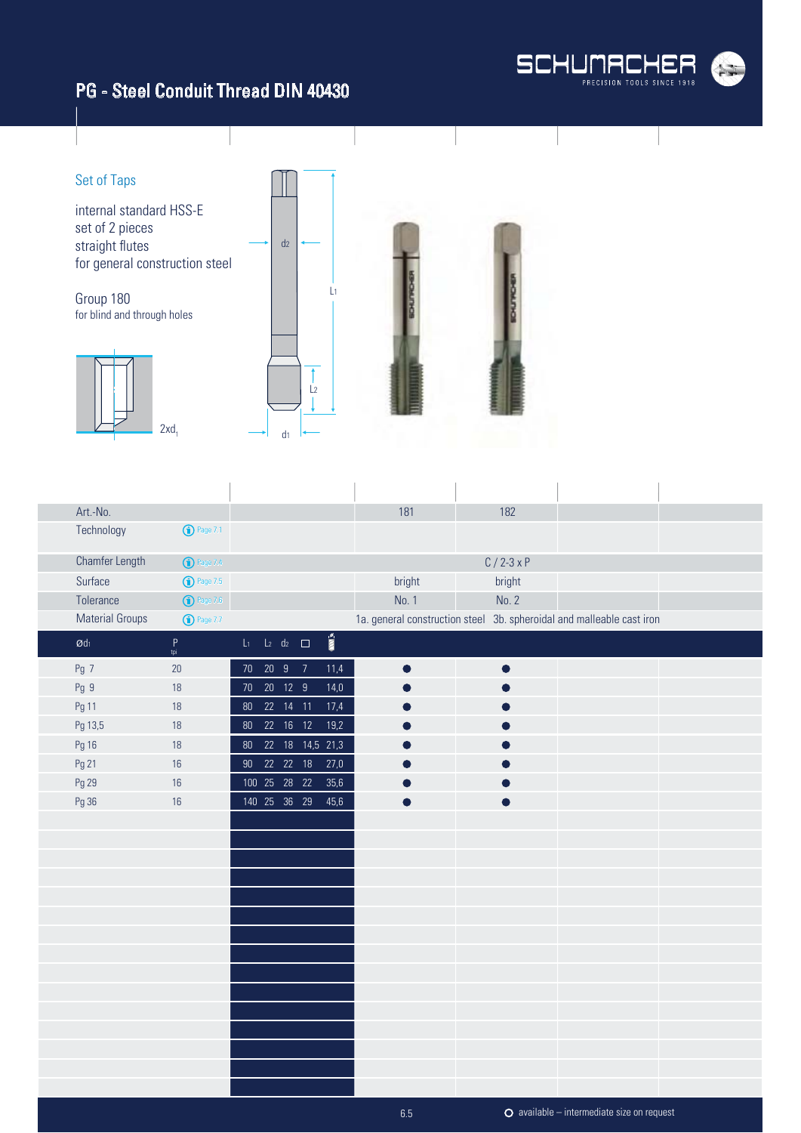#### PG - Steel Conduit Thread DIN 40430





| Art.-No.               |                                                                                                            |                          |                |               |                       | 181       | 182            |                                                                       |  |
|------------------------|------------------------------------------------------------------------------------------------------------|--------------------------|----------------|---------------|-----------------------|-----------|----------------|-----------------------------------------------------------------------|--|
| Technology             | <b>1</b> Page 7.1                                                                                          |                          |                |               |                       |           |                |                                                                       |  |
| Chamfer Length         | <sup>O</sup> Page 7.4                                                                                      |                          |                |               |                       |           | $C / 2 - 3x P$ |                                                                       |  |
| Surface                | <b>1</b> Page 7.5                                                                                          |                          |                |               |                       | bright    | bright         |                                                                       |  |
| Tolerance              | $\bigodot$ Page 7.6                                                                                        |                          |                |               |                       | No. 1     | No. 2          |                                                                       |  |
| <b>Material Groups</b> | <b>1</b> Page 7.7                                                                                          |                          |                |               |                       |           |                | 1a. general construction steel 3b. spheroidal and malleable cast iron |  |
| $\emptyset$ dı         | $\mathsf{P}% _{0}\left( \mathsf{P}_{0}\right) ^{T}=\mathsf{P}_{0}\left( \mathsf{P}_{0}\right) ^{T}$<br>tpi | $L_1$ $L_2$ $d_2$ $\Box$ |                |               | $\overline{\text{m}}$ |           |                |                                                                       |  |
| Pg 7                   | 20                                                                                                         |                          | 70 20 9 7      |               | 11,4                  | $\bullet$ |                |                                                                       |  |
| Pg 9                   | 18                                                                                                         |                          | 70  20  12  9  |               | $14,0$                |           |                |                                                                       |  |
| Pg 11                  | 18                                                                                                         |                          | 80  22  14  11 |               | 17,4                  |           |                |                                                                       |  |
| Pg 13,5                | 18                                                                                                         |                          | 80  22  16  12 |               | 19,2                  |           |                |                                                                       |  |
| Pg 16                  | 18                                                                                                         |                          |                |               | 80 22 18 14,5 21,3    |           |                |                                                                       |  |
| Pg 21                  | 16                                                                                                         | 90 <sub>o</sub>          |                | 22 22 18 27,0 |                       |           |                |                                                                       |  |
| Pg 29                  | 16                                                                                                         |                          |                |               | 100 25 28 22 35,6     |           |                |                                                                       |  |
| Pg 36                  | 16                                                                                                         |                          | 140 25 36 29   |               | 45,6                  |           |                |                                                                       |  |
|                        |                                                                                                            |                          |                |               |                       |           |                |                                                                       |  |
|                        |                                                                                                            |                          |                |               |                       |           |                |                                                                       |  |
|                        |                                                                                                            |                          |                |               |                       |           |                |                                                                       |  |
|                        |                                                                                                            |                          |                |               |                       |           |                |                                                                       |  |
|                        |                                                                                                            |                          |                |               |                       |           |                |                                                                       |  |
|                        |                                                                                                            |                          |                |               |                       |           |                |                                                                       |  |
|                        |                                                                                                            |                          |                |               |                       |           |                |                                                                       |  |
|                        |                                                                                                            |                          |                |               |                       |           |                |                                                                       |  |
|                        |                                                                                                            |                          |                |               |                       |           |                |                                                                       |  |
|                        |                                                                                                            |                          |                |               |                       |           |                |                                                                       |  |
|                        |                                                                                                            |                          |                |               |                       |           |                |                                                                       |  |
|                        |                                                                                                            |                          |                |               |                       |           |                |                                                                       |  |
|                        |                                                                                                            |                          |                |               |                       |           |                |                                                                       |  |
|                        |                                                                                                            |                          |                |               |                       |           |                |                                                                       |  |
|                        |                                                                                                            |                          |                |               |                       |           |                |                                                                       |  |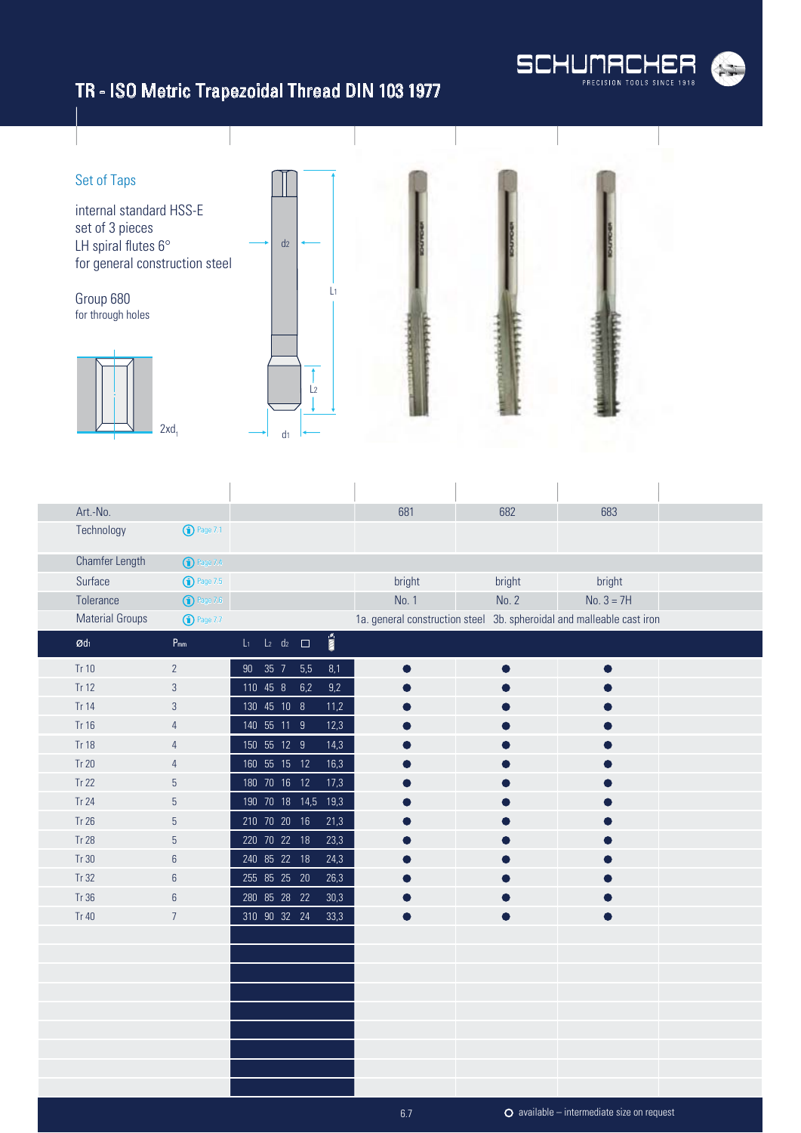

# TR - ISO Metric Trapezoidal Thread DIN 103 1977



| Art.-No.               |                         |                |                             |                         | 681           | 682    | 683                                                                   |
|------------------------|-------------------------|----------------|-----------------------------|-------------------------|---------------|--------|-----------------------------------------------------------------------|
| Technology             | $\binom{1}{1}$ Page 7.1 |                |                             |                         |               |        |                                                                       |
| Chamfer Length         | <b>1</b> Page 7.4       |                |                             |                         |               |        |                                                                       |
| Surface                | $\binom{1}{1}$ Page 7.5 |                |                             |                         | <b>bright</b> | bright | bright                                                                |
| Tolerance              | $\bigodot$ Page 7.6     |                |                             |                         | No. 1         | No. 2  | $No. 3 = 7H$                                                          |
| <b>Material Groups</b> | <b>1</b> Page 7.7       |                |                             |                         |               |        | 1a. general construction steel 3b. spheroidal and malleable cast iron |
| $\mathcal{Q}d_1$       | $P_{mm}$                | $L_{1}$        | $L_2$ d <sub>2</sub> $\Box$ | $\overline{\text{min}}$ |               |        |                                                                       |
| Tr 10                  | $\overline{2}$          | 90 35 7 5,5    |                             | 8,1                     |               |        |                                                                       |
| Tr 12                  | $\mathbf{3}$            | 110 45 8 6,2   |                             | 9,2                     |               |        |                                                                       |
| Tr 14                  | $\sqrt{3}$              | 130 45 10 8    |                             | 11,2                    |               |        |                                                                       |
| Tr 16                  | $\overline{4}$          | 140 55 11 9    |                             | 12,3                    |               |        |                                                                       |
| <b>Tr 18</b>           | $\overline{4}$          | 150 55 12 9    |                             | 14,3                    |               |        |                                                                       |
| <b>Tr 20</b>           | $\overline{4}$          | 160 55 15 12   |                             | 16,3                    |               |        |                                                                       |
| <b>Tr 22</b>           | $\mathbf 5$             | 180 70 16 12   |                             | 17,3                    |               |        |                                                                       |
| <b>Tr 24</b>           | 5                       | 190 70 18 14,5 |                             | 19,3                    |               |        |                                                                       |
| Tr 26                  | $\mathbf 5$             | 210 70 20 16   |                             | 21,3                    |               |        |                                                                       |
| <b>Tr 28</b>           | $\mathbf 5$             | 220 70 22 18   |                             | 23,3                    |               |        |                                                                       |
| Tr 30                  | $\,6\,$                 | 240 85 22 18   |                             | 24,3                    |               |        |                                                                       |
| Tr 32                  | $6\,$                   | 255 85 25 20   |                             | 26,3                    |               |        |                                                                       |
| Tr 36                  | $\boldsymbol{6}$        | 280 85 28 22   |                             | 30,3                    |               |        |                                                                       |
| Tr 40                  | $\overline{7}$          | 310 90 32 24   |                             | 33,3                    |               |        |                                                                       |
|                        |                         |                |                             |                         |               |        |                                                                       |
|                        |                         |                |                             |                         |               |        |                                                                       |
|                        |                         |                |                             |                         |               |        |                                                                       |
|                        |                         |                |                             |                         |               |        |                                                                       |
|                        |                         |                |                             |                         |               |        |                                                                       |
|                        |                         |                |                             |                         |               |        |                                                                       |
|                        |                         |                |                             |                         |               |        |                                                                       |
|                        |                         |                |                             |                         |               |        |                                                                       |
|                        |                         |                |                             |                         |               |        |                                                                       |